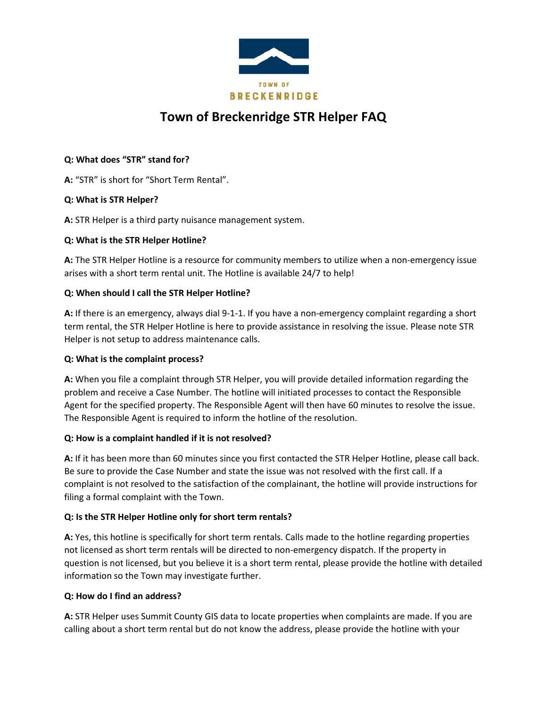

# **Town of Breckenridge STR Helper FAQ**

## **Q: What does "STR" stand for?**

**A:** "STR" is short for "Short Term Rental".

# **Q: What is STR Helper?**

**A:** STR Helper is a third party nuisance management system.

#### **Q: What is the STR Helper Hotline?**

**A:** The STR Helper Hotline is a resource for community members to utilize when a non-emergency issue arises with a short term rental unit. The Hotline is available 24/7 to help!

#### **Q: When should I call the STR Helper Hotline?**

**A:** If there is an emergency, always dial 9-1-1. If you have a non-emergency complaint regarding a short term rental, the STR Helper Hotline is here to provide assistance in resolving the issue. Please note STR Helper is not setup to address maintenance calls.

## **Q: What is the complaint process?**

**A:** When you file a complaint through STR Helper, you will provide detailed information regarding the problem and receive a Case Number. The hotline will initiated processes to contact the Responsible Agent for the specified property. The Responsible Agent will then have 60 minutes to resolve the issue. The Responsible Agent is required to inform the hotline of the resolution.

#### **Q: How is a complaint handled if it is not resolved?**

**A:** If it has been more than 60 minutes since you first contacted the STR Helper Hotline, please call back. Be sure to provide the Case Number and state the issue was not resolved with the first call. If a complaint is not resolved to the satisfaction of the complainant, the hotline will provide instructions for filing a formal complaint with the Town.

# **Q: Is the STR Helper Hotline only for short term rentals?**

**A:** Yes, this hotline is specifically for short term rentals. Calls made to the hotline regarding properties not licensed as short term rentals will be directed to non-emergency dispatch. If the property in question is not licensed, but you believe it is a short term rental, please provide the hotline with detailed information so the Town may investigate further.

#### **Q: How do I find an address?**

**A:** STR Helper uses Summit County GIS data to locate properties when complaints are made. If you are calling about a short term rental but do not know the address, please provide the hotline with your